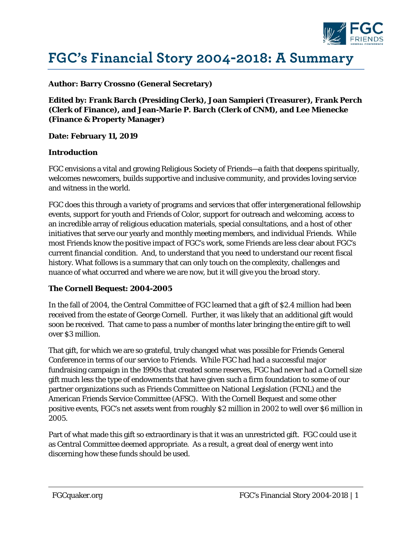

# **FGC's Financial Story 2004-2018: A Summary**

#### **Author: Barry Crossno (General Secretary)**

**Edited by: Frank Barch (Presiding Clerk), Joan Sampieri (Treasurer), Frank Perch (Clerk of Finance), and Jean-Marie P. Barch (Clerk of CNM), and Lee Mienecke (Finance & Property Manager)** 

**Date: February 11, 2019** 

#### **Introduction**

FGC envisions a vital and growing Religious Society of Friends—a faith that deepens spiritually, welcomes newcomers, builds supportive and inclusive community, and provides loving service and witness in the world.

FGC does this through a variety of programs and services that offer intergenerational fellowship events, support for youth and Friends of Color, support for outreach and welcoming, access to an incredible array of religious education materials, special consultations, and a host of other initiatives that serve our yearly and monthly meeting members, and individual Friends. While most Friends know the positive impact of FGC's work, some Friends are less clear about FGC's current financial condition. And, to understand that you need to understand our recent fiscal history. What follows is a summary that can only touch on the complexity, challenges and nuance of what occurred and where we are now, but it will give you the broad story.

## **The Cornell Bequest: 2004-2005**

In the fall of 2004, the Central Committee of FGC learned that a gift of \$2.4 million had been received from the estate of George Cornell. Further, it was likely that an additional gift would soon be received. That came to pass a number of months later bringing the entire gift to well over \$3 million.

That gift, for which we are so grateful, truly changed what was possible for Friends General Conference in terms of our service to Friends. While FGC had had a successful major fundraising campaign in the 1990s that created some reserves, FGC had never had a Cornell size gift much less the type of endowments that have given such a firm foundation to some of our partner organizations such as Friends Committee on National Legislation (FCNL) and the American Friends Service Committee (AFSC). With the Cornell Bequest and some other positive events, FGC's net assets went from roughly \$2 million in 2002 to well over \$6 million in 2005.

Part of what made this gift so extraordinary is that it was an unrestricted gift. FGC could use it as Central Committee deemed appropriate. As a result, a great deal of energy went into discerning how these funds should be used.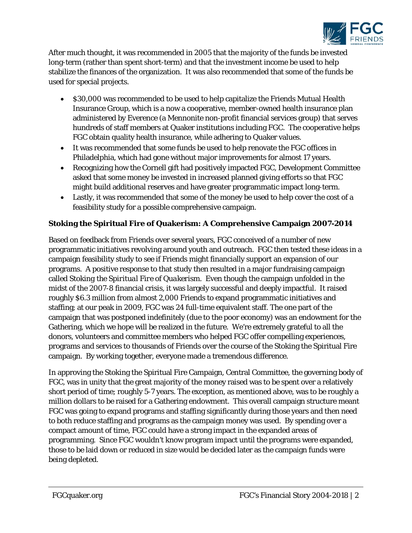

After much thought, it was recommended in 2005 that the majority of the funds be invested long-term (rather than spent short-term) and that the investment income be used to help stabilize the finances of the organization. It was also recommended that some of the funds be used for special projects.

- \$30,000 was recommended to be used to help capitalize the Friends Mutual Health Insurance Group, which is a now a cooperative, member-owned health insurance plan administered by Everence (a Mennonite non-profit financial services group) that serves hundreds of staff members at Quaker institutions including FGC. The cooperative helps FGC obtain quality health insurance, while adhering to Quaker values.
- It was recommended that some funds be used to help renovate the FGC offices in Philadelphia, which had gone without major improvements for almost 17 years.
- Recognizing how the Cornell gift had positively impacted FGC, Development Committee asked that some money be invested in increased planned giving efforts so that FGC might build additional reserves and have greater programmatic impact long-term.
- Lastly, it was recommended that some of the money be used to help cover the cost of a feasibility study for a possible comprehensive campaign.

# **Stoking the Spiritual Fire of Quakerism: A Comprehensive Campaign 2007-2014**

Based on feedback from Friends over several years, FGC conceived of a number of new programmatic initiatives revolving around youth and outreach. FGC then tested these ideas in a campaign feasibility study to see if Friends might financially support an expansion of our programs. A positive response to that study then resulted in a major fundraising campaign called *Stoking the Spiritual Fire of Quakerism.* Even though the campaign unfolded in the midst of the 2007-8 financial crisis, it was largely successful and deeply impactful. It raised roughly \$6.3 million from almost 2,000 Friends to expand programmatic initiatives and staffing; at our peak in 2009, FGC was 24 full-time equivalent staff. The one part of the campaign that was postponed indefinitely (due to the poor economy) was an endowment for the Gathering, which we hope will be realized in the future. We're extremely grateful to all the donors, volunteers and committee members who helped FGC offer compelling experiences, programs and services to thousands of Friends over the course of the Stoking the Spiritual Fire campaign. By working together, everyone made a tremendous difference.

In approving the Stoking the Spiritual Fire Campaign, Central Committee, the governing body of FGC, was in unity that the great majority of the money raised was to be spent over a relatively short period of time; roughly 5-7 years. The exception, as mentioned above, was to be roughly a million dollars to be raised for a Gathering endowment. This overall campaign structure meant FGC was going to expand programs and staffing significantly during those years and then need to both reduce staffing and programs as the campaign money was used. By spending over a compact amount of time, FGC could have a strong impact in the expanded areas of programming. Since FGC wouldn't know program impact until the programs were expanded, those to be laid down or reduced in size would be decided later as the campaign funds were being depleted.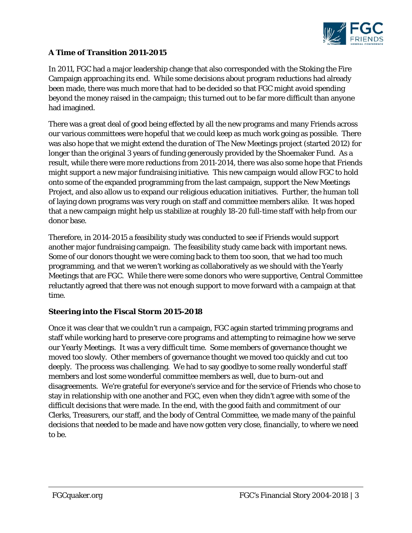

## **A Time of Transition 2011-2015**

In 2011, FGC had a major leadership change that also corresponded with the Stoking the Fire Campaign approaching its end. While some decisions about program reductions had already been made, there was much more that had to be decided so that FGC might avoid spending beyond the money raised in the campaign; this turned out to be far more difficult than anyone had imagined.

There was a great deal of good being effected by all the new programs and many Friends across our various committees were hopeful that we could keep as much work going as possible. There was also hope that we might extend the duration of The New Meetings project (started 2012) for longer than the original 3 years of funding generously provided by the Shoemaker Fund. As a result, while there were more reductions from 2011-2014, there was also some hope that Friends might support a new major fundraising initiative. This new campaign would allow FGC to hold onto some of the expanded programming from the last campaign, support the New Meetings Project, and also allow us to expand our religious education initiatives. Further, the human toll of laying down programs was very rough on staff and committee members alike. It was hoped that a new campaign might help us stabilize at roughly 18-20 full-time staff with help from our donor base.

Therefore, in 2014-2015 a feasibility study was conducted to see if Friends would support another major fundraising campaign. The feasibility study came back with important news. Some of our donors thought we were coming back to them too soon, that we had too much programming, and that we weren't working as collaboratively as we should with the Yearly Meetings that are FGC. While there were some donors who were supportive, Central Committee reluctantly agreed that there was not enough support to move forward with a campaign at that time.

## **Steering into the Fiscal Storm 2015-2018**

Once it was clear that we couldn't run a campaign, FGC again started trimming programs and staff while working hard to preserve core programs and attempting to reimagine how we serve our Yearly Meetings. It was a very difficult time. Some members of governance thought we moved too slowly. Other members of governance thought we moved too quickly and cut too deeply. The process was challenging. We had to say goodbye to some really wonderful staff members and lost some wonderful committee members as well, due to burn-out and disagreements. We're grateful for everyone's service and for the service of Friends who chose to stay in relationship with one another and FGC, even when they didn't agree with some of the difficult decisions that were made. In the end, with the good faith and commitment of our Clerks, Treasurers, our staff, and the body of Central Committee, we made many of the painful decisions that needed to be made and have now gotten very close, financially, to where we need to be.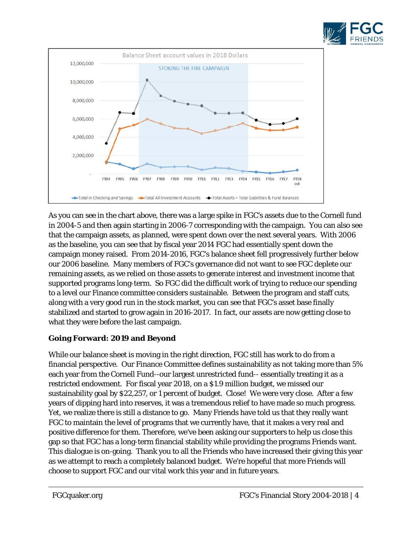



As you can see in the chart above, there was a large spike in FGC's assets due to the Cornell fund in 2004-5 and then again starting in 2006-7 corresponding with the campaign. You can also see that the campaign assets, as planned, were spent down over the next several years. With 2006 as the baseline, you can see that by fiscal year 2014 FGC had essentially spent down the campaign money raised. From 2014-2016, FGC's balance sheet fell progressively further below our 2006 baseline. Many members of FGC's governance did not want to see FGC deplete our remaining assets, as we relied on those assets to generate interest and investment income that supported programs long-term. So FGC did the difficult work of trying to reduce our spending to a level our Finance committee considers sustainable. Between the program and staff cuts, along with a very good run in the stock market, you can see that FGC's asset base finally stabilized and started to grow again in 2016-2017. In fact, our assets are now getting close to what they were before the last campaign.

## **Going Forward: 2019 and Beyond**

While our balance sheet is moving in the right direction, FGC still has work to do from a financial perspective. Our Finance Committee defines sustainability as not taking more than 5% each year from the Cornell Fund--our largest unrestricted fund-- essentially treating it as a restricted endowment. For fiscal year 2018, on a \$1.9 million budget, we missed our sustainability goal by \$22,257, or 1 percent of budget. Close! We were very close. After a few years of dipping hard into reserves, it was a tremendous relief to have made so much progress. Yet, we realize there is still a distance to go. Many Friends have told us that they really want FGC to maintain the level of programs that we currently have, that it makes a very real and positive difference for them. Therefore, we've been asking our supporters to help us close this gap so that FGC has a long-term financial stability while providing the programs Friends want. This dialogue is on-going. Thank you to all the Friends who have increased their giving this year as we attempt to reach a completely balanced budget. We're hopeful that more Friends will choose to support FGC and our vital work this year and in future years.